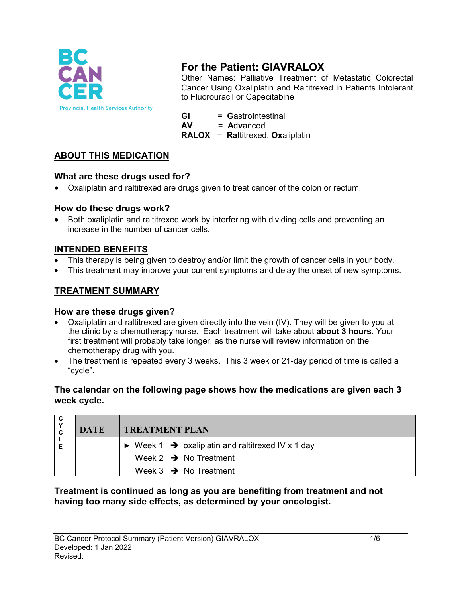

# **For the Patient: GIAVRALOX**

Other Names: Palliative Treatment of Metastatic Colorectal Cancer Using Oxaliplatin and Raltitrexed in Patients Intolerant to Fluorouracil or Capecitabine

**GI** = GastroIntestinal<br>**AV** = Advanced **AV** = **A**d**v**anced **RALOX** = **Ral**titrexed, **Ox**aliplatin

# **ABOUT THIS MEDICATION**

# **What are these drugs used for?**

• Oxaliplatin and raltitrexed are drugs given to treat cancer of the colon or rectum.

# **How do these drugs work?**

• Both oxaliplatin and raltitrexed work by interfering with dividing cells and preventing an increase in the number of cancer cells.

# **INTENDED BENEFITS**

- This therapy is being given to destroy and/or limit the growth of cancer cells in your body.
- This treatment may improve your current symptoms and delay the onset of new symptoms.

# **TREATMENT SUMMARY**

# **How are these drugs given?**

- Oxaliplatin and raltitrexed are given directly into the vein (IV). They will be given to you at the clinic by a chemotherapy nurse. Each treatment will take about **about 3 hours**. Your first treatment will probably take longer, as the nurse will review information on the chemotherapy drug with you.
- The treatment is repeated every 3 weeks. This 3 week or 21-day period of time is called a "cycle".

#### **The calendar on the following page shows how the medications are given each 3 week cycle.**

|  | <b>DATE</b> | <b>TREATMENT PLAN</b>                                                        |  |
|--|-------------|------------------------------------------------------------------------------|--|
|  |             | $\triangleright$ Week 1 $\rightarrow$ oxaliplatin and raltitrexed IV x 1 day |  |
|  |             | Week 2 $\rightarrow$ No Treatment                                            |  |
|  |             | Week $3 \rightarrow$ No Treatment                                            |  |

# **Treatment is continued as long as you are benefiting from treatment and not having too many side effects, as determined by your oncologist.**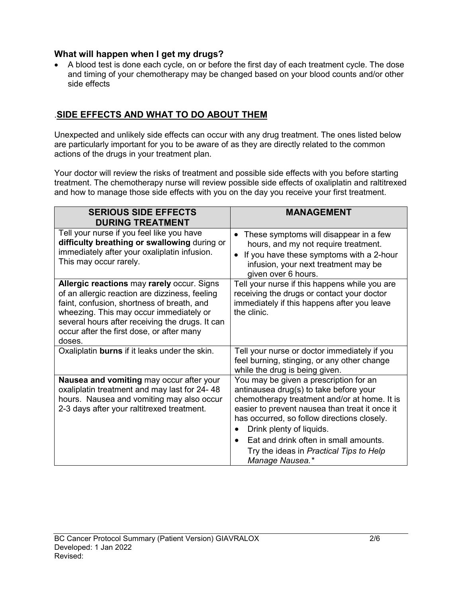#### **What will happen when I get my drugs?**

• A blood test is done each cycle, on or before the first day of each treatment cycle. The dose and timing of your chemotherapy may be changed based on your blood counts and/or other side effects

# .**SIDE EFFECTS AND WHAT TO DO ABOUT THEM**

Unexpected and unlikely side effects can occur with any drug treatment. The ones listed below are particularly important for you to be aware of as they are directly related to the common actions of the drugs in your treatment plan.

Your doctor will review the risks of treatment and possible side effects with you before starting treatment. The chemotherapy nurse will review possible side effects of oxaliplatin and raltitrexed and how to manage those side effects with you on the day you receive your first treatment.

| <b>SERIOUS SIDE EFFECTS</b><br><b>DURING TREATMENT</b>                                                                                                                                                                                                                                          | <b>MANAGEMENT</b>                                                                                                                                                                                                                                                                                                                                                    |
|-------------------------------------------------------------------------------------------------------------------------------------------------------------------------------------------------------------------------------------------------------------------------------------------------|----------------------------------------------------------------------------------------------------------------------------------------------------------------------------------------------------------------------------------------------------------------------------------------------------------------------------------------------------------------------|
| Tell your nurse if you feel like you have<br>difficulty breathing or swallowing during or<br>immediately after your oxaliplatin infusion.<br>This may occur rarely.                                                                                                                             | These symptoms will disappear in a few<br>$\bullet$<br>hours, and my not require treatment.<br>If you have these symptoms with a 2-hour<br>$\bullet$<br>infusion, your next treatment may be<br>given over 6 hours.                                                                                                                                                  |
| Allergic reactions may rarely occur. Signs<br>of an allergic reaction are dizziness, feeling<br>faint, confusion, shortness of breath, and<br>wheezing. This may occur immediately or<br>several hours after receiving the drugs. It can<br>occur after the first dose, or after many<br>doses. | Tell your nurse if this happens while you are<br>receiving the drugs or contact your doctor<br>immediately if this happens after you leave<br>the clinic.                                                                                                                                                                                                            |
| Oxaliplatin burns if it leaks under the skin.                                                                                                                                                                                                                                                   | Tell your nurse or doctor immediately if you<br>feel burning, stinging, or any other change<br>while the drug is being given.                                                                                                                                                                                                                                        |
| Nausea and vomiting may occur after your<br>oxaliplatin treatment and may last for 24-48<br>hours. Nausea and vomiting may also occur<br>2-3 days after your raltitrexed treatment.                                                                                                             | You may be given a prescription for an<br>antinausea drug(s) to take before your<br>chemotherapy treatment and/or at home. It is<br>easier to prevent nausea than treat it once it<br>has occurred, so follow directions closely.<br>Drink plenty of liquids.<br>Eat and drink often in small amounts.<br>Try the ideas in Practical Tips to Help<br>Manage Nausea.* |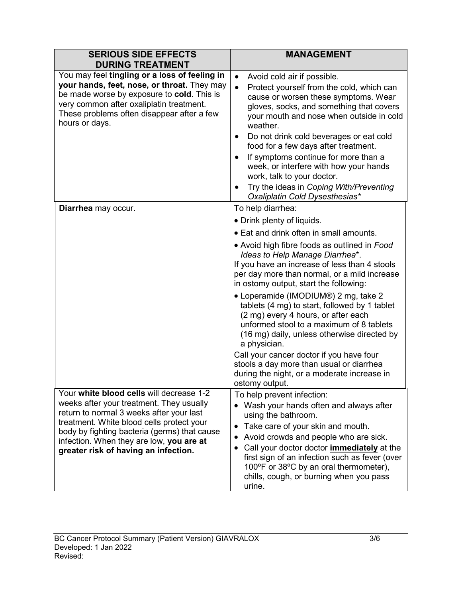| <b>SERIOUS SIDE EFFECTS</b><br><b>DURING TREATMENT</b>                                                                                                                                                                                                                                                            | <b>MANAGEMENT</b>                                                                                                                                                                                                                                                                                                                                                                                                                                                                                                                                                                                                                                                                                                            |
|-------------------------------------------------------------------------------------------------------------------------------------------------------------------------------------------------------------------------------------------------------------------------------------------------------------------|------------------------------------------------------------------------------------------------------------------------------------------------------------------------------------------------------------------------------------------------------------------------------------------------------------------------------------------------------------------------------------------------------------------------------------------------------------------------------------------------------------------------------------------------------------------------------------------------------------------------------------------------------------------------------------------------------------------------------|
| You may feel tingling or a loss of feeling in<br>your hands, feet, nose, or throat. They may<br>be made worse by exposure to cold. This is<br>very common after oxaliplatin treatment.<br>These problems often disappear after a few<br>hours or days.                                                            | Avoid cold air if possible.<br>$\bullet$<br>Protect yourself from the cold, which can<br>$\bullet$<br>cause or worsen these symptoms. Wear<br>gloves, socks, and something that covers<br>your mouth and nose when outside in cold<br>weather.<br>Do not drink cold beverages or eat cold<br>٠<br>food for a few days after treatment.<br>If symptoms continue for more than a<br>week, or interfere with how your hands<br>work, talk to your doctor.<br>Try the ideas in Coping With/Preventing<br>Oxaliplatin Cold Dysesthesias*                                                                                                                                                                                          |
| Diarrhea may occur.                                                                                                                                                                                                                                                                                               | To help diarrhea:<br>• Drink plenty of liquids.<br>• Eat and drink often in small amounts.<br>• Avoid high fibre foods as outlined in Food<br>Ideas to Help Manage Diarrhea*.<br>If you have an increase of less than 4 stools<br>per day more than normal, or a mild increase<br>in ostomy output, start the following:<br>• Loperamide (IMODIUM®) 2 mg, take 2<br>tablets (4 mg) to start, followed by 1 tablet<br>(2 mg) every 4 hours, or after each<br>unformed stool to a maximum of 8 tablets<br>(16 mg) daily, unless otherwise directed by<br>a physician.<br>Call your cancer doctor if you have four<br>stools a day more than usual or diarrhea<br>during the night, or a moderate increase in<br>ostomy output. |
| Your white blood cells will decrease 1-2<br>weeks after your treatment. They usually<br>return to normal 3 weeks after your last<br>treatment. White blood cells protect your<br>body by fighting bacteria (germs) that cause<br>infection. When they are low, you are at<br>greater risk of having an infection. | To help prevent infection:<br>Wash your hands often and always after<br>using the bathroom.<br>Take care of your skin and mouth.<br>$\bullet$<br>Avoid crowds and people who are sick.<br>$\bullet$<br>Call your doctor doctor <i>immediately</i> at the<br>$\bullet$<br>first sign of an infection such as fever (over<br>100°F or 38°C by an oral thermometer),<br>chills, cough, or burning when you pass<br>urine.                                                                                                                                                                                                                                                                                                       |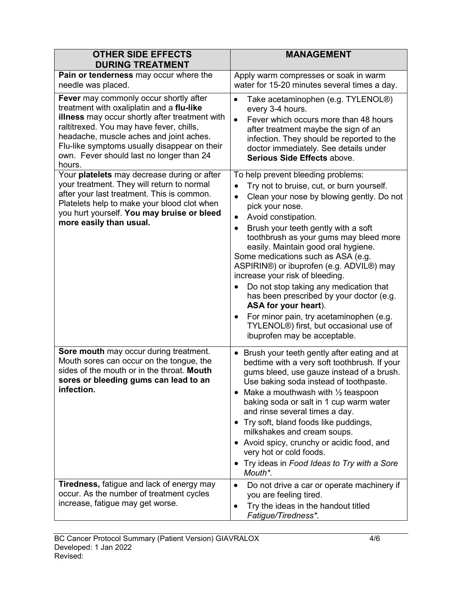| <b>OTHER SIDE EFFECTS</b><br><b>DURING TREATMENT</b>                                                                                                                                                                                                                                                                               | <b>MANAGEMENT</b>                                                                                                                                                                                                                                                                                                                                                                                                                                                                                                                                                                                                                                                                                                       |
|------------------------------------------------------------------------------------------------------------------------------------------------------------------------------------------------------------------------------------------------------------------------------------------------------------------------------------|-------------------------------------------------------------------------------------------------------------------------------------------------------------------------------------------------------------------------------------------------------------------------------------------------------------------------------------------------------------------------------------------------------------------------------------------------------------------------------------------------------------------------------------------------------------------------------------------------------------------------------------------------------------------------------------------------------------------------|
| Pain or tenderness may occur where the<br>needle was placed.                                                                                                                                                                                                                                                                       | Apply warm compresses or soak in warm<br>water for 15-20 minutes several times a day.                                                                                                                                                                                                                                                                                                                                                                                                                                                                                                                                                                                                                                   |
| Fever may commonly occur shortly after<br>treatment with oxaliplatin and a flu-like<br>illness may occur shortly after treatment with<br>raltitrexed. You may have fever, chills,<br>headache, muscle aches and joint aches.<br>Flu-like symptoms usually disappear on their<br>own. Fever should last no longer than 24<br>hours. | Take acetaminophen (e.g. TYLENOL®)<br>$\bullet$<br>every 3-4 hours.<br>Fever which occurs more than 48 hours<br>$\bullet$<br>after treatment maybe the sign of an<br>infection. They should be reported to the<br>doctor immediately. See details under<br>Serious Side Effects above.                                                                                                                                                                                                                                                                                                                                                                                                                                  |
| Your platelets may decrease during or after<br>your treatment. They will return to normal<br>after your last treatment. This is common.<br>Platelets help to make your blood clot when<br>you hurt yourself. You may bruise or bleed<br>more easily than usual.                                                                    | To help prevent bleeding problems:<br>Try not to bruise, cut, or burn yourself.<br>$\bullet$<br>Clean your nose by blowing gently. Do not<br>$\bullet$<br>pick your nose.<br>Avoid constipation.<br>$\bullet$<br>Brush your teeth gently with a soft<br>$\bullet$<br>toothbrush as your gums may bleed more<br>easily. Maintain good oral hygiene.<br>Some medications such as ASA (e.g.<br>ASPIRIN®) or ibuprofen (e.g. ADVIL®) may<br>increase your risk of bleeding.<br>Do not stop taking any medication that<br>has been prescribed by your doctor (e.g.<br>ASA for your heart).<br>For minor pain, try acetaminophen (e.g.<br>$\bullet$<br>TYLENOL®) first, but occasional use of<br>ibuprofen may be acceptable. |
| Sore mouth may occur during treatment.<br>Mouth sores can occur on the tongue, the<br>sides of the mouth or in the throat. Mouth<br>sores or bleeding gums can lead to an<br>infection.                                                                                                                                            | Brush your teeth gently after eating and at<br>$\bullet$<br>bedtime with a very soft toothbrush. If your<br>gums bleed, use gauze instead of a brush.<br>Use baking soda instead of toothpaste.<br>Make a mouthwash with $\frac{1}{2}$ teaspoon<br>baking soda or salt in 1 cup warm water<br>and rinse several times a day.<br>• Try soft, bland foods like puddings,<br>milkshakes and cream soups.<br>• Avoid spicy, crunchy or acidic food, and<br>very hot or cold foods.<br>• Try ideas in Food Ideas to Try with a Sore<br>Mouth*.                                                                                                                                                                               |
| <b>Tiredness, fatigue and lack of energy may</b><br>occur. As the number of treatment cycles<br>increase, fatigue may get worse.                                                                                                                                                                                                   | Do not drive a car or operate machinery if<br>$\bullet$<br>you are feeling tired.<br>Try the ideas in the handout titled<br>$\bullet$<br>Fatigue/Tiredness*.                                                                                                                                                                                                                                                                                                                                                                                                                                                                                                                                                            |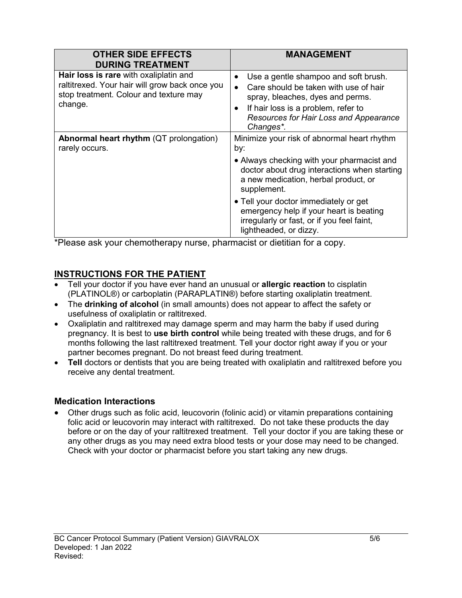| <b>OTHER SIDE EFFECTS</b><br><b>DURING TREATMENT</b>                                                                                          | <b>MANAGEMENT</b>                                                                                                                                                                                                                         |
|-----------------------------------------------------------------------------------------------------------------------------------------------|-------------------------------------------------------------------------------------------------------------------------------------------------------------------------------------------------------------------------------------------|
| Hair loss is rare with oxaliplatin and<br>raltitrexed. Your hair will grow back once you<br>stop treatment. Colour and texture may<br>change. | Use a gentle shampoo and soft brush.<br>Care should be taken with use of hair<br>$\bullet$<br>spray, bleaches, dyes and perms.<br>If hair loss is a problem, refer to<br>$\bullet$<br>Resources for Hair Loss and Appearance<br>Changes*. |
| Abnormal heart rhythm (QT prolongation)<br>rarely occurs.                                                                                     | Minimize your risk of abnormal heart rhythm<br>by:                                                                                                                                                                                        |
|                                                                                                                                               | • Always checking with your pharmacist and<br>doctor about drug interactions when starting<br>a new medication, herbal product, or<br>supplement.                                                                                         |
|                                                                                                                                               | • Tell your doctor immediately or get<br>emergency help if your heart is beating<br>irregularly or fast, or if you feel faint,<br>lightheaded, or dizzy.                                                                                  |

\*Please ask your chemotherapy nurse, pharmacist or dietitian for a copy.

# **INSTRUCTIONS FOR THE PATIENT**

- Tell your doctor if you have ever hand an unusual or **allergic reaction** to cisplatin (PLATINOL®) or carboplatin (PARAPLATIN®) before starting oxaliplatin treatment.
- The **drinking of alcohol** (in small amounts) does not appear to affect the safety or usefulness of oxaliplatin or raltitrexed.
- Oxaliplatin and raltitrexed may damage sperm and may harm the baby if used during pregnancy. It is best to **use birth control** while being treated with these drugs, and for 6 months following the last raltitrexed treatment. Tell your doctor right away if you or your partner becomes pregnant. Do not breast feed during treatment.
- Tell doctors or dentists that you are being treated with oxaliplatin and raltitrexed before you receive any dental treatment.

#### **Medication Interactions**

• Other drugs such as folic acid, leucovorin (folinic acid) or vitamin preparations containing folic acid or leucovorin may interact with raltitrexed. Do not take these products the day before or on the day of your raltitrexed treatment. Tell your doctor if you are taking these or any other drugs as you may need extra blood tests or your dose may need to be changed. Check with your doctor or pharmacist before you start taking any new drugs.